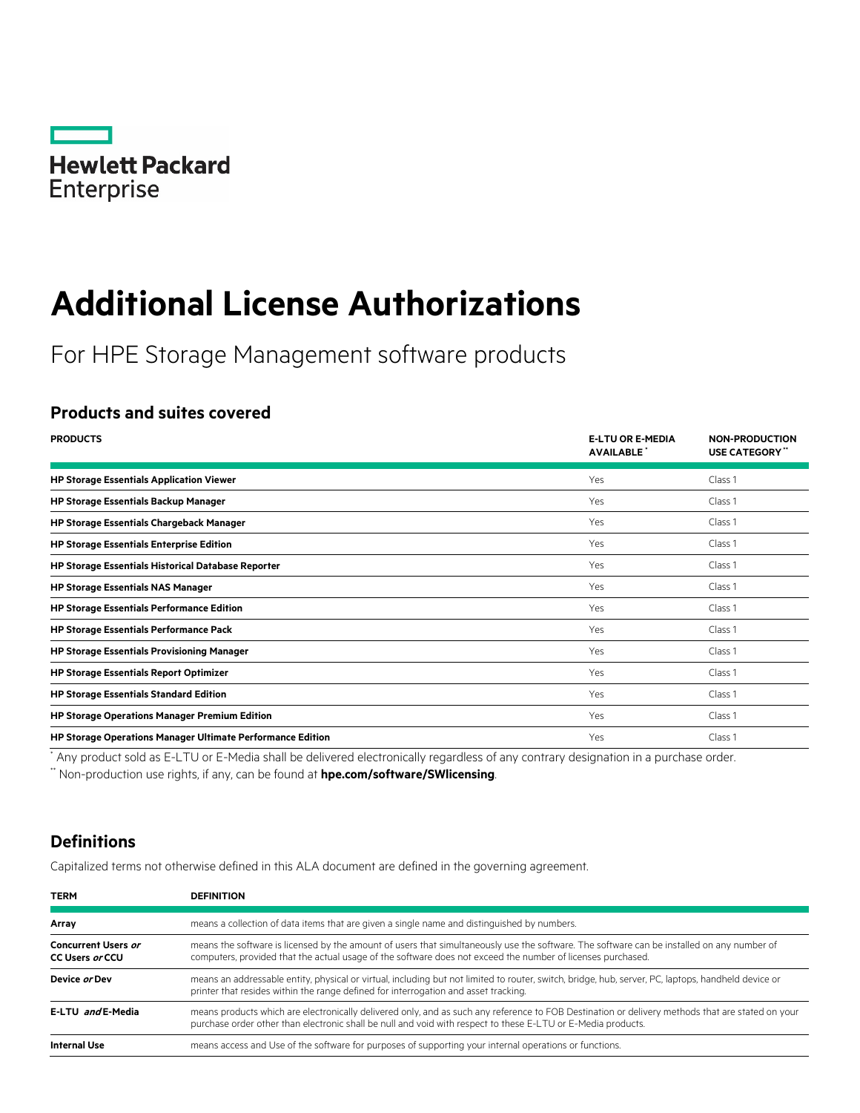

# **Additional License Authorizations**

For HPE Storage Management software products

## **Products and suites covered**

| <b>PRODUCTS</b>                                                   | <b>E-LTU OR E-MEDIA</b><br><b>AVAILABLE</b> | <b>NON-PRODUCTION</b><br><b>USE CATEGORY</b> " |
|-------------------------------------------------------------------|---------------------------------------------|------------------------------------------------|
| <b>HP Storage Essentials Application Viewer</b>                   | Yes                                         | Class 1                                        |
| <b>HP Storage Essentials Backup Manager</b>                       | Yes                                         | Class <sub>1</sub>                             |
| <b>HP Storage Essentials Chargeback Manager</b>                   | Yes                                         | Class 1                                        |
| <b>HP Storage Essentials Enterprise Edition</b>                   | Yes                                         | Class <sub>1</sub>                             |
| <b>HP Storage Essentials Historical Database Reporter</b>         | Yes                                         | Class 1                                        |
| <b>HP Storage Essentials NAS Manager</b>                          | Yes                                         | Class 1                                        |
| <b>HP Storage Essentials Performance Edition</b>                  | Yes                                         | Class <sub>1</sub>                             |
| <b>HP Storage Essentials Performance Pack</b>                     | Yes                                         | Class 1                                        |
| <b>HP Storage Essentials Provisioning Manager</b>                 | Yes                                         | Class 1                                        |
| <b>HP Storage Essentials Report Optimizer</b>                     | Yes                                         | Class 1                                        |
| <b>HP Storage Essentials Standard Edition</b>                     | Yes                                         | Class 1                                        |
| <b>HP Storage Operations Manager Premium Edition</b>              | Yes                                         | Class 1                                        |
| <b>HP Storage Operations Manager Ultimate Performance Edition</b> | Yes                                         | Class <sub>1</sub>                             |

\* Any product sold as E-LTU or E-Media shall be delivered electronically regardless of any contrary designation in a purchase order.

\*\* Non-production use rights, if any, can be found at **[hpe.com/software/SWlicensing](http://www.hpe.com/software/SWlicensing)**.

# **Definitions**

Capitalized terms not otherwise defined in this ALA document are defined in the governing agreement.

| <b>DEFINITION</b>                                                                                                                                                                                                                                                |
|------------------------------------------------------------------------------------------------------------------------------------------------------------------------------------------------------------------------------------------------------------------|
| means a collection of data items that are given a single name and distinguished by numbers.                                                                                                                                                                      |
| means the software is licensed by the amount of users that simultaneously use the software. The software can be installed on any number of<br>computers, provided that the actual usage of the software does not exceed the number of licenses purchased.        |
| means an addressable entity, physical or virtual, including but not limited to router, switch, bridge, hub, server, PC, laptops, handheld device or<br>printer that resides within the range defined for interrogation and asset tracking.                       |
| means products which are electronically delivered only, and as such any reference to FOB Destination or delivery methods that are stated on your<br>purchase order other than electronic shall be null and void with respect to these E-LTU or E-Media products. |
| means access and Use of the software for purposes of supporting your internal operations or functions.                                                                                                                                                           |
|                                                                                                                                                                                                                                                                  |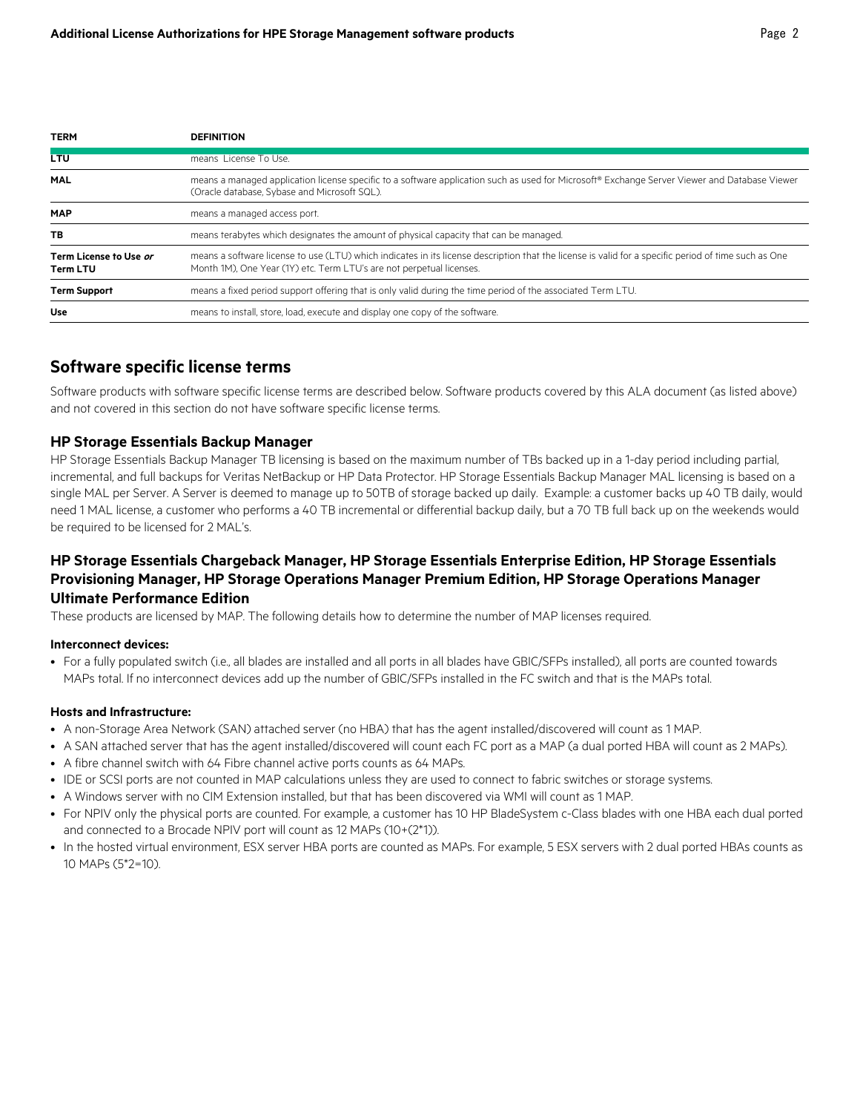| <b>TERM</b>                               | <b>DEFINITION</b>                                                                                                                                                                                                            |
|-------------------------------------------|------------------------------------------------------------------------------------------------------------------------------------------------------------------------------------------------------------------------------|
| <b>LTU</b>                                | means License To Use.                                                                                                                                                                                                        |
| <b>MAL</b>                                | means a managed application license specific to a software application such as used for Microsoft® Exchange Server Viewer and Database Viewer<br>(Oracle database, Sybase and Microsoft SQL).                                |
| <b>MAP</b>                                | means a managed access port.                                                                                                                                                                                                 |
| ТB                                        | means terabytes which designates the amount of physical capacity that can be managed.                                                                                                                                        |
| Term License to Use or<br><b>Term LTU</b> | means a software license to use (LTU) which indicates in its license description that the license is valid for a specific period of time such as One<br>Month 1M), One Year (1Y) etc. Term LTU's are not perpetual licenses. |
| <b>Term Support</b>                       | means a fixed period support offering that is only valid during the time period of the associated Term LTU.                                                                                                                  |
| <b>Use</b>                                | means to install, store, load, execute and display one copy of the software.                                                                                                                                                 |

## **Software specific license terms**

Software products with software specific license terms are described below. Software products covered by this ALA document (as listed above) and not covered in this section do not have software specific license terms.

#### **HP Storage Essentials Backup Manager**

HP Storage Essentials Backup Manager TB licensing is based on the maximum number of TBs backed up in a 1-day period including partial, incremental, and full backups for Veritas NetBackup or HP Data Protector. HP Storage Essentials Backup Manager MAL licensing is based on a single MAL per Server. A Server is deemed to manage up to 50TB of storage backed up daily. Example: a customer backs up 40 TB daily, would need 1 MAL license, a customer who performs a 40 TB incremental or differential backup daily, but a 70 TB full back up on the weekends would be required to be licensed for 2 MAL's.

## **HP Storage Essentials Chargeback Manager, HP Storage Essentials Enterprise Edition, HP Storage Essentials Provisioning Manager, HP Storage Operations Manager Premium Edition, HP Storage Operations Manager Ultimate Performance Edition**

These products are licensed by MAP. The following details how to determine the number of MAP licenses required.

#### **Interconnect devices:**

• For a fully populated switch (i.e., all blades are installed and all ports in all blades have GBIC/SFPs installed), all ports are counted towards MAPs total. If no interconnect devices add up the number of GBIC/SFPs installed in the FC switch and that is the MAPs total.

#### **Hosts and Infrastructure:**

- A non-Storage Area Network (SAN) attached server (no HBA) that has the agent installed/discovered will count as 1 MAP.
- A SAN attached server that has the agent installed/discovered will count each FC port as a MAP (a dual ported HBA will count as 2 MAPs).
- A fibre channel switch with 64 Fibre channel active ports counts as 64 MAPs.
- IDE or SCSI ports are not counted in MAP calculations unless they are used to connect to fabric switches or storage systems.
- A Windows server with no CIM Extension installed, but that has been discovered via WMI will count as 1 MAP.
- For NPIV only the physical ports are counted. For example, a customer has 10 HP BladeSystem c-Class blades with one HBA each dual ported and connected to a Brocade NPIV port will count as 12 MAPs (10+(2\*1)).
- In the hosted virtual environment, ESX server HBA ports are counted as MAPs. For example, 5 ESX servers with 2 dual ported HBAs counts as 10 MAPs (5\*2=10).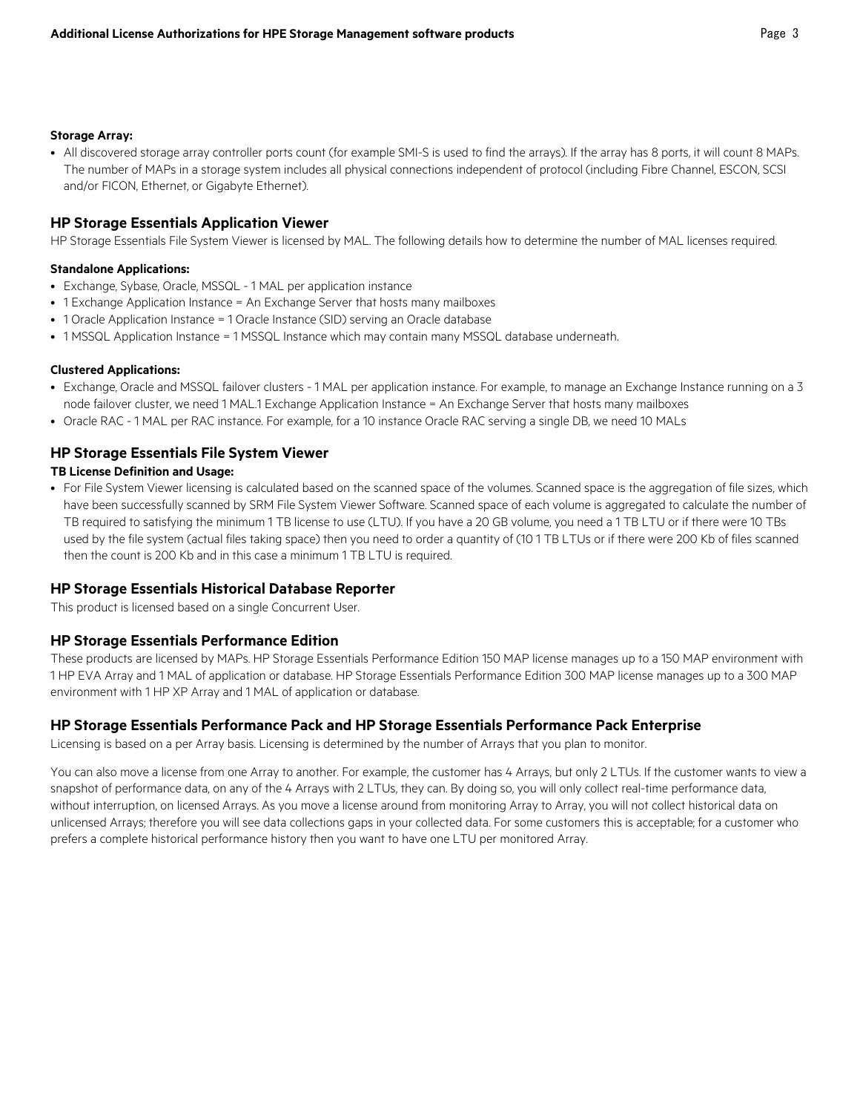#### **Storage Array:**

• All discovered storage array controller ports count (for example SMI-S is used to find the arrays). If the array has 8 ports, it will count 8 MAPs. The number of MAPs in a storage system includes all physical connections independent of protocol (including Fibre Channel, ESCON, SCSI and/or FICON, Ethernet, or Gigabyte Ethernet).

#### **HP Storage Essentials Application Viewer**

HP Storage Essentials File System Viewer is licensed by MAL. The following details how to determine the number of MAL licenses required.

#### **Standalone Applications:**

- Exchange, Sybase, Oracle, MSSQL 1 MAL per application instance
- 1 Exchange Application Instance = An Exchange Server that hosts many mailboxes
- 1 Oracle Application Instance = 1 Oracle Instance (SID) serving an Oracle database
- 1 MSSQL Application Instance = 1 MSSQL Instance which may contain many MSSQL database underneath.

#### **Clustered Applications:**

- Exchange, Oracle and MSSQL failover clusters 1 MAL per application instance. For example, to manage an Exchange Instance running on a 3 node failover cluster, we need 1 MAL.1 Exchange Application Instance = An Exchange Server that hosts many mailboxes
- Oracle RAC 1 MAL per RAC instance. For example, for a 10 instance Oracle RAC serving a single DB, we need 10 MALs

#### **HP Storage Essentials File System Viewer**

#### **TB License Definition and Usage:**

• For File System Viewer licensing is calculated based on the scanned space of the volumes. Scanned space is the aggregation of file sizes, which have been successfully scanned by SRM File System Viewer Software. Scanned space of each volume is aggregated to calculate the number of TB required to satisfying the minimum 1 TB license to use (LTU). If you have a 20 GB volume, you need a 1 TB LTU or if there were 10 TBs used by the file system (actual files taking space) then you need to order a quantity of (10 1 TB LTUs or if there were 200 Kb of files scanned then the count is 200 Kb and in this case a minimum 1 TB LTU is required.

#### **HP Storage Essentials Historical Database Reporter**

This product is licensed based on a single Concurrent User.

#### **HP Storage Essentials Performance Edition**

These products are licensed by MAPs. HP Storage Essentials Performance Edition 150 MAP license manages up to a 150 MAP environment with 1 HP EVA Array and 1 MAL of application or database. HP Storage Essentials Performance Edition 300 MAP license manages up to a 300 MAP environment with 1 HP XP Array and 1 MAL of application or database.

#### **HP Storage Essentials Performance Pack and HP Storage Essentials Performance Pack Enterprise**

Licensing is based on a per Array basis. Licensing is determined by the number of Arrays that you plan to monitor.

You can also move a license from one Array to another. For example, the customer has 4 Arrays, but only 2 LTUs. If the customer wants to view a snapshot of performance data, on any of the 4 Arrays with 2 LTUs, they can. By doing so, you will only collect real-time performance data, without interruption, on licensed Arrays. As you move a license around from monitoring Array to Array, you will not collect historical data on unlicensed Arrays; therefore you will see data collections gaps in your collected data. For some customers this is acceptable; for a customer who prefers a complete historical performance history then you want to have one LTU per monitored Array.